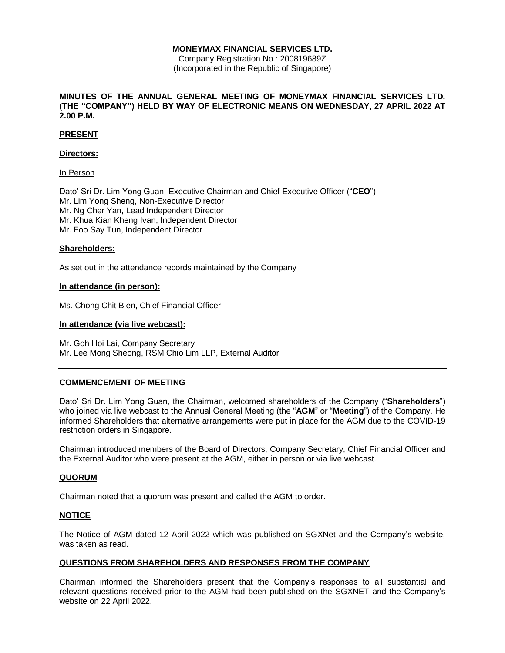Company Registration No.: 200819689Z (Incorporated in the Republic of Singapore)

# **MINUTES OF THE ANNUAL GENERAL MEETING OF MONEYMAX FINANCIAL SERVICES LTD. (THE "COMPANY") HELD BY WAY OF ELECTRONIC MEANS ON WEDNESDAY, 27 APRIL 2022 AT 2.00 P.M.**

# **PRESENT**

# **Directors:**

### In Person

Dato' Sri Dr. Lim Yong Guan, Executive Chairman and Chief Executive Officer ("**CEO**") Mr. Lim Yong Sheng, Non-Executive Director Mr. Ng Cher Yan, Lead Independent Director Mr. Khua Kian Kheng Ivan, Independent Director Mr. Foo Say Tun, Independent Director

### **Shareholders:**

As set out in the attendance records maintained by the Company

### **In attendance (in person):**

Ms. Chong Chit Bien, Chief Financial Officer

### **In attendance (via live webcast):**

Mr. Goh Hoi Lai, Company Secretary Mr. Lee Mong Sheong, RSM Chio Lim LLP, External Auditor

# **COMMENCEMENT OF MEETING**

Dato' Sri Dr. Lim Yong Guan, the Chairman, welcomed shareholders of the Company ("**Shareholders**") who joined via live webcast to the Annual General Meeting (the "**AGM**" or "**Meeting**") of the Company. He informed Shareholders that alternative arrangements were put in place for the AGM due to the COVID-19 restriction orders in Singapore.

Chairman introduced members of the Board of Directors, Company Secretary, Chief Financial Officer and the External Auditor who were present at the AGM, either in person or via live webcast.

# **QUORUM**

Chairman noted that a quorum was present and called the AGM to order.

# **NOTICE**

The Notice of AGM dated 12 April 2022 which was published on SGXNet and the Company's website, was taken as read.

# **QUESTIONS FROM SHAREHOLDERS AND RESPONSES FROM THE COMPANY**

Chairman informed the Shareholders present that the Company's responses to all substantial and relevant questions received prior to the AGM had been published on the SGXNET and the Company's website on 22 April 2022.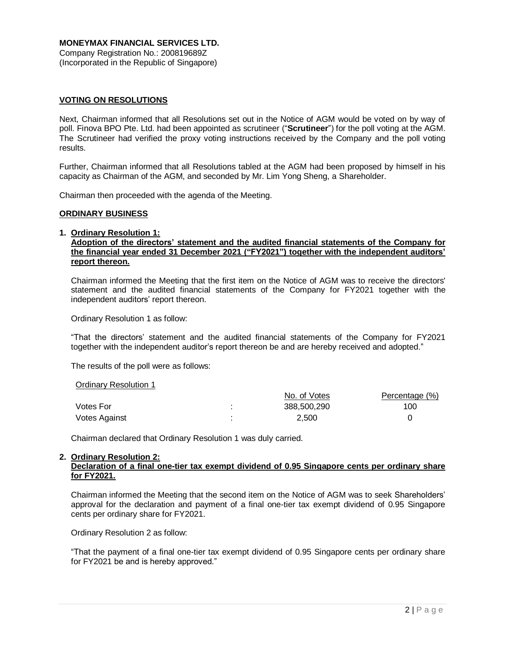**MONEYMAX FINANCIAL SERVICES LTD.** Company Registration No.: 200819689Z (Incorporated in the Republic of Singapore)

# **VOTING ON RESOLUTIONS**

Next, Chairman informed that all Resolutions set out in the Notice of AGM would be voted on by way of poll. Finova BPO Pte. Ltd. had been appointed as scrutineer ("**Scrutineer**") for the poll voting at the AGM. The Scrutineer had verified the proxy voting instructions received by the Company and the poll voting results.

Further, Chairman informed that all Resolutions tabled at the AGM had been proposed by himself in his capacity as Chairman of the AGM, and seconded by Mr. Lim Yong Sheng, a Shareholder.

Chairman then proceeded with the agenda of the Meeting.

### **ORDINARY BUSINESS**

#### **1. Ordinary Resolution 1:**

# **Adoption of the directors' statement and the audited financial statements of the Company for the financial year ended 31 December 2021 ("FY2021") together with the independent auditors' report thereon.**

Chairman informed the Meeting that the first item on the Notice of AGM was to receive the directors' statement and the audited financial statements of the Company for FY2021 together with the independent auditors' report thereon.

Ordinary Resolution 1 as follow:

"That the directors' statement and the audited financial statements of the Company for FY2021 together with the independent auditor's report thereon be and are hereby received and adopted."

The results of the poll were as follows:

#### Ordinary Resolution 1

|               |                | No. of Votes | Percentage (%) |
|---------------|----------------|--------------|----------------|
| Votes For     | ٠<br>٠         | 388,500,290  | 100            |
| Votes Against | $\blacksquare$ | 2.500        |                |

Chairman declared that Ordinary Resolution 1 was duly carried.

# **2. Ordinary Resolution 2:**

# **Declaration of a final one-tier tax exempt dividend of 0.95 Singapore cents per ordinary share for FY2021.**

Chairman informed the Meeting that the second item on the Notice of AGM was to seek Shareholders' approval for the declaration and payment of a final one-tier tax exempt dividend of 0.95 Singapore cents per ordinary share for FY2021.

Ordinary Resolution 2 as follow:

"That the payment of a final one-tier tax exempt dividend of 0.95 Singapore cents per ordinary share for FY2021 be and is hereby approved."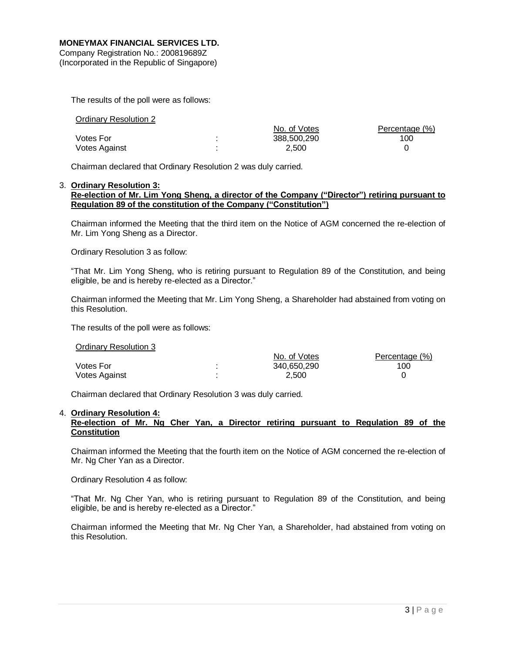Company Registration No.: 200819689Z (Incorporated in the Republic of Singapore)

The results of the poll were as follows:

| Ordinary Resolution 2 |              |                |
|-----------------------|--------------|----------------|
|                       | No. of Votes | Percentage (%) |
| Votes For             | 388,500,290  | 100            |
| Votes Against         | 2.500        |                |

Chairman declared that Ordinary Resolution 2 was duly carried.

#### 3. **Ordinary Resolution 3: Re-election of Mr. Lim Yong Sheng, a director of the Company ("Director") retiring pursuant to Regulation 89 of the constitution of the Company ("Constitution")**

Chairman informed the Meeting that the third item on the Notice of AGM concerned the re-election of Mr. Lim Yong Sheng as a Director.

Ordinary Resolution 3 as follow:

"That Mr. Lim Yong Sheng, who is retiring pursuant to Regulation 89 of the Constitution, and being eligible, be and is hereby re-elected as a Director."

Chairman informed the Meeting that Mr. Lim Yong Sheng, a Shareholder had abstained from voting on this Resolution.

The results of the poll were as follows:

Ordinary Resolution 3

|               | No. of Votes | Percentage (%) |
|---------------|--------------|----------------|
| Votes For     | 340.650.290  | 100            |
| Votes Against | 2.500        |                |

Chairman declared that Ordinary Resolution 3 was duly carried.

# 4. **Ordinary Resolution 4:**

# **Re-election of Mr. Ng Cher Yan, a Director retiring pursuant to Regulation 89 of the Constitution**

Chairman informed the Meeting that the fourth item on the Notice of AGM concerned the re-election of Mr. Ng Cher Yan as a Director.

Ordinary Resolution 4 as follow:

"That Mr. Ng Cher Yan, who is retiring pursuant to Regulation 89 of the Constitution, and being eligible, be and is hereby re-elected as a Director."

Chairman informed the Meeting that Mr. Ng Cher Yan, a Shareholder, had abstained from voting on this Resolution.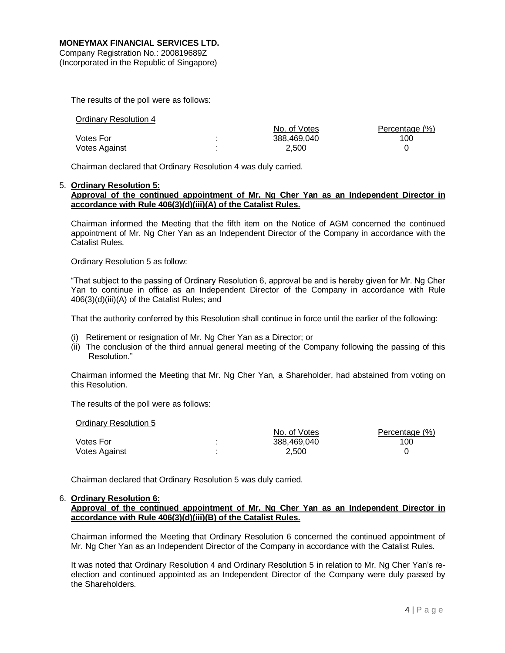Company Registration No.: 200819689Z (Incorporated in the Republic of Singapore)

The results of the poll were as follows:

| <b>Ordinary Resolution 4</b> |              |                |
|------------------------------|--------------|----------------|
|                              | No. of Votes | Percentage (%) |
| <b>Votes For</b>             | 388.469.040  | 100            |
| Votes Against                | 2.500        |                |

Chairman declared that Ordinary Resolution 4 was duly carried.

# 5. **Ordinary Resolution 5:**

# **Approval of the continued appointment of Mr. Ng Cher Yan as an Independent Director in accordance with Rule 406(3)(d)(iii)(A) of the Catalist Rules.**

Chairman informed the Meeting that the fifth item on the Notice of AGM concerned the continued appointment of Mr. Ng Cher Yan as an Independent Director of the Company in accordance with the Catalist Rules.

Ordinary Resolution 5 as follow:

"That subject to the passing of Ordinary Resolution 6, approval be and is hereby given for Mr. Ng Cher Yan to continue in office as an Independent Director of the Company in accordance with Rule 406(3)(d)(iii)(A) of the Catalist Rules; and

That the authority conferred by this Resolution shall continue in force until the earlier of the following:

- (i) Retirement or resignation of Mr. Ng Cher Yan as a Director; or
- (ii) The conclusion of the third annual general meeting of the Company following the passing of this Resolution."

Chairman informed the Meeting that Mr. Ng Cher Yan, a Shareholder, had abstained from voting on this Resolution.

The results of the poll were as follows:

| Ordinary Resolution 5 |              |                |
|-----------------------|--------------|----------------|
|                       | No. of Votes | Percentage (%) |
| <b>Votes For</b>      | 388.469.040  | 100            |
| Votes Against         | 2.500        |                |

Chairman declared that Ordinary Resolution 5 was duly carried.

# 6. **Ordinary Resolution 6:**

**Approval of the continued appointment of Mr. Ng Cher Yan as an Independent Director in accordance with Rule 406(3)(d)(iii)(B) of the Catalist Rules.** 

Chairman informed the Meeting that Ordinary Resolution 6 concerned the continued appointment of Mr. Ng Cher Yan as an Independent Director of the Company in accordance with the Catalist Rules.

It was noted that Ordinary Resolution 4 and Ordinary Resolution 5 in relation to Mr. Ng Cher Yan's reelection and continued appointed as an Independent Director of the Company were duly passed by the Shareholders.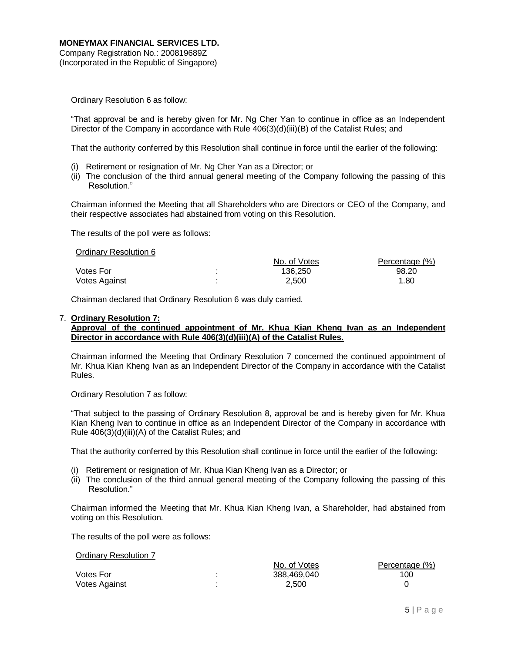Ordinary Resolution 6 as follow:

"That approval be and is hereby given for Mr. Ng Cher Yan to continue in office as an Independent Director of the Company in accordance with Rule  $406(3)(d)(iii)(B)$  of the Catalist Rules; and

That the authority conferred by this Resolution shall continue in force until the earlier of the following:

- (i) Retirement or resignation of Mr. Ng Cher Yan as a Director; or
- (ii) The conclusion of the third annual general meeting of the Company following the passing of this Resolution."

Chairman informed the Meeting that all Shareholders who are Directors or CEO of the Company, and their respective associates had abstained from voting on this Resolution.

The results of the poll were as follows:

| $\sim$ . The contract of the contract of $\sim$ | No. of Votes | Percentage (%) |
|-------------------------------------------------|--------------|----------------|
| <b>Votes For</b>                                | 136.250      | 98.20          |
| Votes Against                                   | 2.500        | 1.80           |

Chairman declared that Ordinary Resolution 6 was duly carried.

#### 7. **Ordinary Resolution 7:**

Ordinary Resolution 6

# **Approval of the continued appointment of Mr. Khua Kian Kheng Ivan as an Independent Director in accordance with Rule 406(3)(d)(iii)(A) of the Catalist Rules.**

Chairman informed the Meeting that Ordinary Resolution 7 concerned the continued appointment of Mr. Khua Kian Kheng Ivan as an Independent Director of the Company in accordance with the Catalist Rules.

Ordinary Resolution 7 as follow:

"That subject to the passing of Ordinary Resolution 8, approval be and is hereby given for Mr. Khua Kian Kheng Ivan to continue in office as an Independent Director of the Company in accordance with Rule 406(3)(d)(iii)(A) of the Catalist Rules; and

That the authority conferred by this Resolution shall continue in force until the earlier of the following:

- (i) Retirement or resignation of Mr. Khua Kian Kheng Ivan as a Director; or
- (ii) The conclusion of the third annual general meeting of the Company following the passing of this Resolution."

Chairman informed the Meeting that Mr. Khua Kian Kheng Ivan, a Shareholder, had abstained from voting on this Resolution.

The results of the poll were as follows:

Ordinary Resolution 7

| <u>Ululilaly Resulution T</u> |              |                |
|-------------------------------|--------------|----------------|
|                               | No. of Votes | Percentage (%) |
| <b>Votes For</b>              | 388.469.040  | 100            |
| Votes Against                 | 2.500        |                |
|                               |              |                |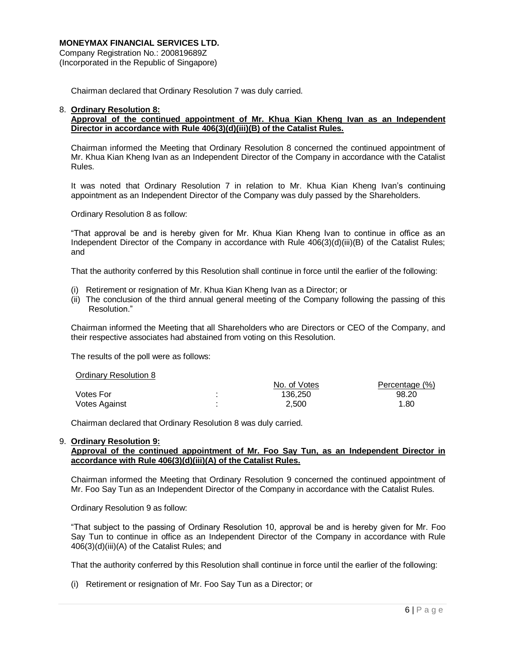Company Registration No.: 200819689Z (Incorporated in the Republic of Singapore)

Chairman declared that Ordinary Resolution 7 was duly carried.

### 8. **Ordinary Resolution 8:**

# **Approval of the continued appointment of Mr. Khua Kian Kheng Ivan as an Independent Director in accordance with Rule 406(3)(d)(iii)(B) of the Catalist Rules.**

Chairman informed the Meeting that Ordinary Resolution 8 concerned the continued appointment of Mr. Khua Kian Kheng Ivan as an Independent Director of the Company in accordance with the Catalist Rules.

It was noted that Ordinary Resolution 7 in relation to Mr. Khua Kian Kheng Ivan's continuing appointment as an Independent Director of the Company was duly passed by the Shareholders.

Ordinary Resolution 8 as follow:

"That approval be and is hereby given for Mr. Khua Kian Kheng Ivan to continue in office as an Independent Director of the Company in accordance with Rule 406(3)(d)(iii)(B) of the Catalist Rules; and

That the authority conferred by this Resolution shall continue in force until the earlier of the following:

- (i) Retirement or resignation of Mr. Khua Kian Kheng Ivan as a Director; or
- (ii) The conclusion of the third annual general meeting of the Company following the passing of this Resolution."

Chairman informed the Meeting that all Shareholders who are Directors or CEO of the Company, and their respective associates had abstained from voting on this Resolution.

The results of the poll were as follows:

| Ordinary Resolution 8 |              |                |
|-----------------------|--------------|----------------|
|                       | No. of Votes | Percentage (%) |
| Votes For             | 136.250      | 98.20          |
| Votes Against         | 2,500        | 1.80           |

Chairman declared that Ordinary Resolution 8 was duly carried.

#### 9. **Ordinary Resolution 9:**

# **Approval of the continued appointment of Mr. Foo Say Tun, as an Independent Director in accordance with Rule 406(3)(d)(iii)(A) of the Catalist Rules.**

Chairman informed the Meeting that Ordinary Resolution 9 concerned the continued appointment of Mr. Foo Say Tun as an Independent Director of the Company in accordance with the Catalist Rules.

Ordinary Resolution 9 as follow:

"That subject to the passing of Ordinary Resolution 10, approval be and is hereby given for Mr. Foo Say Tun to continue in office as an Independent Director of the Company in accordance with Rule 406(3)(d)(iii)(A) of the Catalist Rules; and

That the authority conferred by this Resolution shall continue in force until the earlier of the following:

(i) Retirement or resignation of Mr. Foo Say Tun as a Director; or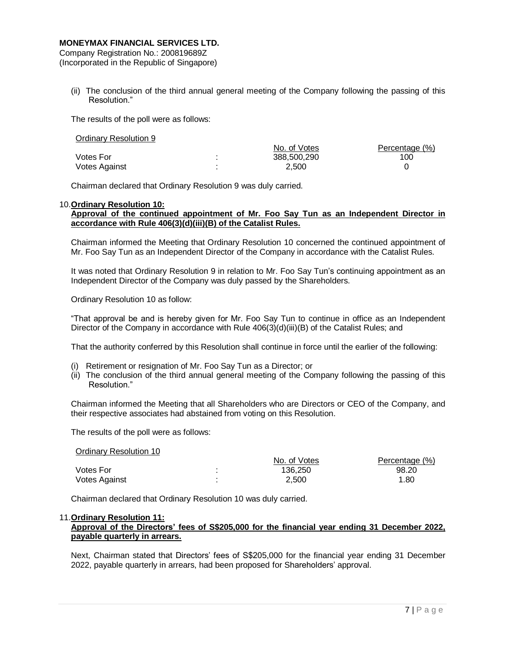Company Registration No.: 200819689Z (Incorporated in the Republic of Singapore)

(ii) The conclusion of the third annual general meeting of the Company following the passing of this Resolution."

The results of the poll were as follows:

| Ordinary Resolution 9 |              |                |
|-----------------------|--------------|----------------|
|                       | No. of Votes | Percentage (%) |
| <b>Votes For</b>      | 388,500,290  | 100            |
| Votes Against         | 2.500        |                |

Chairman declared that Ordinary Resolution 9 was duly carried.

#### 10.**Ordinary Resolution 10:**

### **Approval of the continued appointment of Mr. Foo Say Tun as an Independent Director in accordance with Rule 406(3)(d)(iii)(B) of the Catalist Rules.**

Chairman informed the Meeting that Ordinary Resolution 10 concerned the continued appointment of Mr. Foo Say Tun as an Independent Director of the Company in accordance with the Catalist Rules.

It was noted that Ordinary Resolution 9 in relation to Mr. Foo Say Tun's continuing appointment as an Independent Director of the Company was duly passed by the Shareholders.

Ordinary Resolution 10 as follow:

"That approval be and is hereby given for Mr. Foo Say Tun to continue in office as an Independent Director of the Company in accordance with Rule  $406(3)(d)(iii)(B)$  of the Catalist Rules; and

That the authority conferred by this Resolution shall continue in force until the earlier of the following:

- (i) Retirement or resignation of Mr. Foo Say Tun as a Director; or
- (ii) The conclusion of the third annual general meeting of the Company following the passing of this Resolution."

Chairman informed the Meeting that all Shareholders who are Directors or CEO of the Company, and their respective associates had abstained from voting on this Resolution.

The results of the poll were as follows:

| Ordinary Resolution 10 |                |              |                |
|------------------------|----------------|--------------|----------------|
|                        |                | No. of Votes | Percentage (%) |
| Votes For              |                | 136.250      | 98.20          |
| Votes Against          | $\blacksquare$ | 2.500        | 1.80           |

Chairman declared that Ordinary Resolution 10 was duly carried.

#### 11.**Ordinary Resolution 11:**

# **Approval of the Directors' fees of S\$205,000 for the financial year ending 31 December 2022, payable quarterly in arrears.**

Next, Chairman stated that Directors' fees of S\$205,000 for the financial year ending 31 December 2022, payable quarterly in arrears, had been proposed for Shareholders' approval.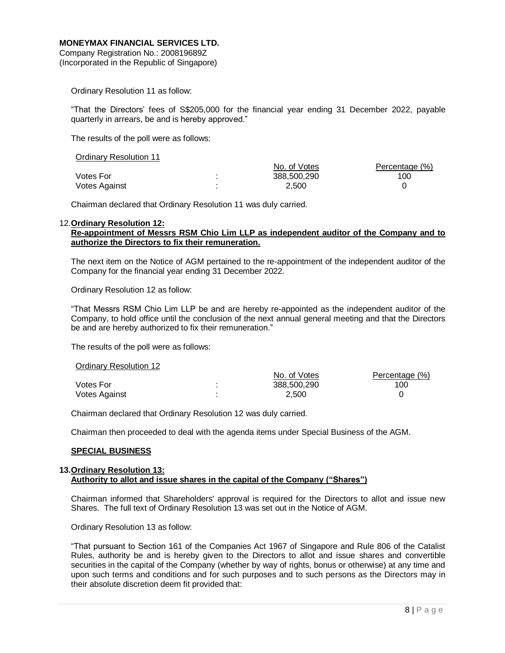Company Registration No.: 200819689Z (Incorporated in the Republic of Singapore)

Ordinary Resolution 11 as follow:

"That the Directors' fees of S\$205,000 for the financial year ending 31 December 2022, payable quarterly in arrears, be and is hereby approved."

The results of the poll were as follows:

| Ululilaly Resulution II |              |                |
|-------------------------|--------------|----------------|
|                         | No. of Votes | Percentage (%) |
| Votes For               | 388,500,290  | 100            |
| Votes Against           | 2.500        |                |

Chairman declared that Ordinary Resolution 11 was duly carried.

#### 12.**Ordinary Resolution 12:**

Ordinary Resolution 11

# **Re-appointment of Messrs RSM Chio Lim LLP as independent auditor of the Company and to authorize the Directors to fix their remuneration.**

The next item on the Notice of AGM pertained to the re-appointment of the independent auditor of the Company for the financial year ending 31 December 2022.

Ordinary Resolution 12 as follow:

"That Messrs RSM Chio Lim LLP be and are hereby re-appointed as the independent auditor of the Company, to hold office until the conclusion of the next annual general meeting and that the Directors be and are hereby authorized to fix their remuneration."

The results of the poll were as follows:

| <b>Station &amp; Resortation LE</b> |              |                |
|-------------------------------------|--------------|----------------|
|                                     | No. of Votes | Percentage (%) |
| Votes For                           | 388,500,290  | 100            |
| Votes Against                       | 2.500        |                |

Chairman declared that Ordinary Resolution 12 was duly carried.

Chairman then proceeded to deal with the agenda items under Special Business of the AGM.

# **SPECIAL BUSINESS**

Ordinary Resolution 12

### **13.Ordinary Resolution 13: Authority to allot and issue shares in the capital of the Company ("Shares")**

Chairman informed that Shareholders' approval is required for the Directors to allot and issue new Shares. The full text of Ordinary Resolution 13 was set out in the Notice of AGM.

Ordinary Resolution 13 as follow:

"That pursuant to Section 161 of the Companies Act 1967 of Singapore and Rule 806 of the Catalist Rules, authority be and is hereby given to the Directors to allot and issue shares and convertible securities in the capital of the Company (whether by way of rights, bonus or otherwise) at any time and upon such terms and conditions and for such purposes and to such persons as the Directors may in their absolute discretion deem fit provided that: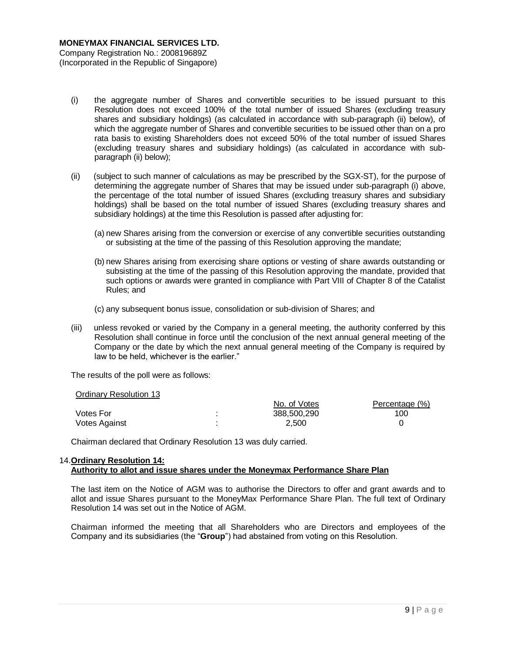- (i) the aggregate number of Shares and convertible securities to be issued pursuant to this Resolution does not exceed 100% of the total number of issued Shares (excluding treasury shares and subsidiary holdings) (as calculated in accordance with sub-paragraph (ii) below), of which the aggregate number of Shares and convertible securities to be issued other than on a pro rata basis to existing Shareholders does not exceed 50% of the total number of issued Shares (excluding treasury shares and subsidiary holdings) (as calculated in accordance with subparagraph (ii) below);
- (ii) (subject to such manner of calculations as may be prescribed by the SGX-ST), for the purpose of determining the aggregate number of Shares that may be issued under sub-paragraph (i) above, the percentage of the total number of issued Shares (excluding treasury shares and subsidiary holdings) shall be based on the total number of issued Shares (excluding treasury shares and subsidiary holdings) at the time this Resolution is passed after adjusting for:
	- (a) new Shares arising from the conversion or exercise of any convertible securities outstanding or subsisting at the time of the passing of this Resolution approving the mandate;
	- (b) new Shares arising from exercising share options or vesting of share awards outstanding or subsisting at the time of the passing of this Resolution approving the mandate, provided that such options or awards were granted in compliance with Part VIII of Chapter 8 of the Catalist Rules; and
	- (c) any subsequent bonus issue, consolidation or sub-division of Shares; and
- (iii) unless revoked or varied by the Company in a general meeting, the authority conferred by this Resolution shall continue in force until the conclusion of the next annual general meeting of the Company or the date by which the next annual general meeting of the Company is required by law to be held, whichever is the earlier."

The results of the poll were as follows:

Ordinary Resolution 13

| $5 - 1$       |              |                |
|---------------|--------------|----------------|
|               | No. of Votes | Percentage (%) |
| Votes For     | 388,500,290  | 100            |
| Votes Against | 2.500        |                |
|               |              |                |

Chairman declared that Ordinary Resolution 13 was duly carried.

# 14.**Ordinary Resolution 14: Authority to allot and issue shares under the Moneymax Performance Share Plan**

The last item on the Notice of AGM was to authorise the Directors to offer and grant awards and to allot and issue Shares pursuant to the MoneyMax Performance Share Plan. The full text of Ordinary Resolution 14 was set out in the Notice of AGM.

Chairman informed the meeting that all Shareholders who are Directors and employees of the Company and its subsidiaries (the "**Group**") had abstained from voting on this Resolution.